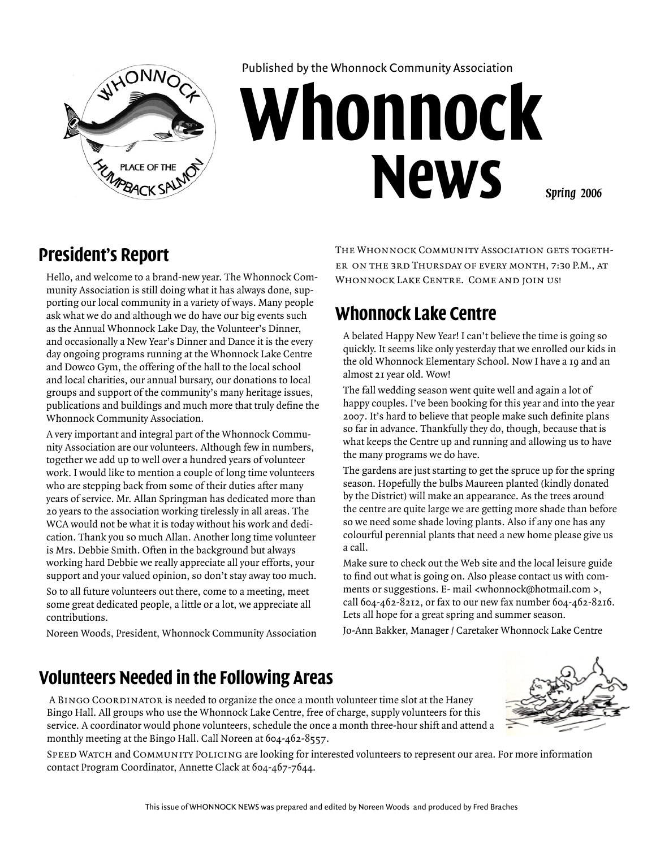

Published by the Whonnock Community Association

# **Whonnock News**

*Spring 2006*

#### **President's Report**

Hello, and welcome to a brand-new year. The Whonnock Community Association is still doing what it has always done, supporting our local community in a variety of ways. Many people ask what we do and although we do have our big events such as the Annual Whonnock Lake Day, the Volunteer's Dinner, and occasionally a New Year's Dinner and Dance it is the every day ongoing programs running at the Whonnock Lake Centre and Dowco Gym, the offering of the hall to the local school and local charities, our annual bursary, our donations to local groups and support of the community's many heritage issues, publications and buildings and much more that truly define the Whonnock Community Association.

A very important and integral part of the Whonnock Community Association are our volunteers. Although few in numbers, together we add up to well over a hundred years of volunteer work. I would like to mention a couple of long time volunteers who are stepping back from some of their duties after many years of service. Mr. Allan Springman has dedicated more than 20 years to the association working tirelessly in all areas. The WCA would not be what it is today without his work and dedication. Thank you so much Allan. Another long time volunteer is Mrs. Debbie Smith. Often in the background but always working hard Debbie we really appreciate all your efforts, your support and your valued opinion, so don't stay away too much.

So to all future volunteers out there, come to a meeting, meet some great dedicated people, a little or a lot, we appreciate all contributions.

Noreen Woods, President, Whonnock Community Association

THE WHONNOCK COMMUNITY ASSOCIATION GETS TOGETHer on the 3rd Thursday of every month, 7:30 P.M., at WHONNOCK LAKE CENTRE. COME AND JOIN US!

## **Whonnock Lake Centre**

A belated Happy New Year! I can't believe the time is going so quickly. It seems like only yesterday that we enrolled our kids in the old Whonnock Elementary School. Now I have a 19 and an almost 21 year old. Wow!

The fall wedding season went quite well and again a lot of happy couples. I've been booking for this year and into the year 2007. It's hard to believe that people make such definite plans so far in advance. Thankfully they do, though, because that is what keeps the Centre up and running and allowing us to have the many programs we do have.

The gardens are just starting to get the spruce up for the spring season. Hopefully the bulbs Maureen planted (kindly donated by the District) will make an appearance. As the trees around the centre are quite large we are getting more shade than before so we need some shade loving plants. Also if any one has any colourful perennial plants that need a new home please give us a call.

Make sure to check out the Web site and the local leisure guide to find out what is going on. Also please contact us with comments or suggestions. E- mail <whonnock@hotmail.com >, call 604-462-8212, or fax to our new fax number 604-462-8216. Lets all hope for a great spring and summer season.

Jo-Ann Bakker, Manager / Caretaker Whonnock Lake Centre

#### **Volunteers Needed in the Following Areas**

 A Bingo Coordinator is needed to organize the once a month volunteer time slot at the Haney Bingo Hall. All groups who use the Whonnock Lake Centre, free of charge, supply volunteers for this service. A coordinator would phone volunteers, schedule the once a month three-hour shift and attend a monthly meeting at the Bingo Hall. Call Noreen at 604-462-8557.

SPEED WATCH and COMMUNITY POLICING are looking for interested volunteers to represent our area. For more information contact Program Coordinator, Annette Clack at 604-467-7644.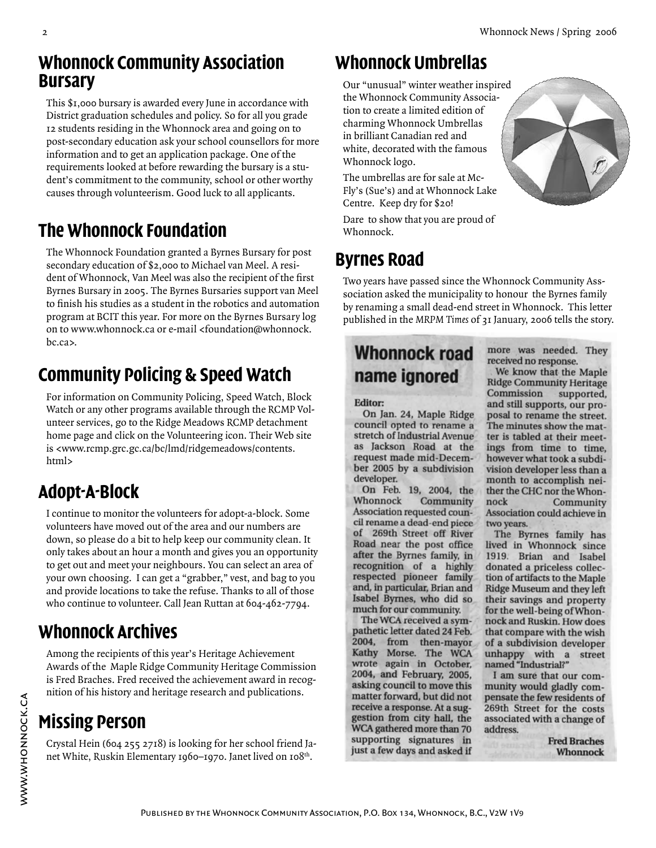#### **Whonnock Community Association Bursary**

This \$1,000 bursary is awarded every June in accordance with District graduation schedules and policy. So for all you grade 12 students residing in the Whonnock area and going on to post-secondary education ask your school counsellors for more information and to get an application package. One of the requirements looked at before rewarding the bursary is a student's commitment to the community, school or other worthy causes through volunteerism. Good luck to all applicants.

# **The Whonnock Foundation**

The Whonnock Foundation granted a Byrnes Bursary for post secondary education of \$2,000 to Michael van Meel. A resident of Whonnock, Van Meel was also the recipient of the first Byrnes Bursary in 2005. The Byrnes Bursaries support van Meel to finish his studies as a student in the robotics and automation program at BCIT this year. For more on the Byrnes Bursary log on to www.whonnock.ca or e-mail <foundation@whonnock. bc.ca>.

# **Community Policing & Speed Watch**

For information on Community Policing, Speed Watch, Block Watch or any other programs available through the RCMP Volunteer services, go to the Ridge Meadows RCMP detachment home page and click on the Volunteering icon. Their Web site is <www.rcmp.grc.gc.ca/bc/lmd/ridgemeadows/contents. html>

# **Adopt-A-Block**

I continue to monitor the volunteers for adopt-a-block. Some volunteers have moved out of the area and our numbers are down, so please do a bit to help keep our community clean. It only takes about an hour a month and gives you an opportunity to get out and meet your neighbours. You can select an area of your own choosing. I can get a "grabber," vest, and bag to you and provide locations to take the refuse. Thanks to all of those who continue to volunteer. Call Jean Ruttan at 604-462-7794.

# **Whonnock Archives**

Among the recipients of this year's Heritage Achievement Awards of the Maple Ridge Community Heritage Commission is Fred Braches. Fred received the achievement award in recognition of his history and heritage research and publications.

# **Missing Person**

Crystal Hein (604 255 2718) is looking for her school friend Janet White, Ruskin Elementary 1960–1970. Janet lived on 108<sup>th</sup>.

## **Whonnock Umbrellas**

Our "unusual" winter weather inspired the Whonnock Community Association to create a limited edition of charming Whonnock Umbrellas in brilliant Canadian red and white, decorated with the famous Whonnock logo.

The umbrellas are for sale at Mc-Fly's (Sue's) and at Whonnock Lake Centre. Keep dry for \$20!

Dare to show that you are proud of Whonnock.

# **Byrnes Road**

Two years have passed since the Whonnock Community Asssociation asked the municipality to honour the Byrnes family by renaming a small dead-end street in Whonnock. This letter published in the *MRPM Times* of 31 January, 2006 tells the story.

# **Whonnock road** name ignored

#### Editor:

On Jan. 24, Maple Ridge council opted to rename a stretch of Industrial Avenue as Jackson Road at the request made mid-December 2005 by a subdivision developer.

On Feb. 19, 2004, the Whonnock Community Association requested council rename a dead-end piece of 269th Street off River Road near the post office after the Byrnes family, in recognition of a highly respected pioneer family and, in particular, Brian and Isabel Byrnes, who did so much for our community.

The WCA received a sympathetic letter dated 24 Feb. 2004, from then-mayor Kathy Morse. The WCA wrote again in October, 2004, and February, 2005, asking council to move this matter forward, but did not receive a response. At a suggestion from city hall, the<br>WCA gathered more than 70 supporting signatures in just a few days and asked if

more was needed. They received no response. We know that the Maple **Ridge Community Heritage** Commission supported, and still supports, our proposal to rename the street. The minutes show the matter is tabled at their meetings from time to time, however what took a subdivision developer less than a month to accomplish neither the CHC nor the Whonnock Community Association could achieve in two years.

The Byrnes family has lived in Whonnock since 1919. Brian and Isabel donated a priceless collection of artifacts to the Maple **Ridge Museum and they left** their savings and property for the well-being of Whonnock and Ruskin. How does that compare with the wish of a subdivision developer unhappy with a street named "Industrial?"

I am sure that our community would gladly compensate the few residents of 269th Street for the costs associated with a change of address.

> **Fred Braches Whonnock**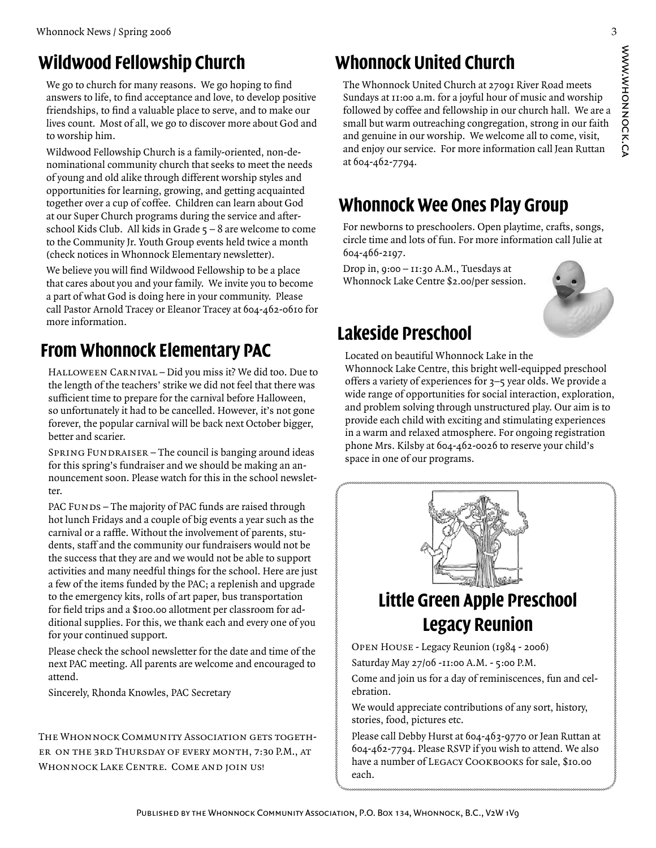# **Wildwood Fellowship Church**

We go to church for many reasons. We go hoping to find answers to life, to find acceptance and love, to develop positive friendships, to find a valuable place to serve, and to make our lives count. Most of all, we go to discover more about God and to worship him.

Wildwood Fellowship Church is a family-oriented, non-denominational community church that seeks to meet the needs of young and old alike through different worship styles and opportunities for learning, growing, and getting acquainted together over a cup of coffee. Children can learn about God at our Super Church programs during the service and afterschool Kids Club. All kids in Grade  $5 - 8$  are welcome to come to the Community Jr. Youth Group events held twice a month (check notices in Whonnock Elementary newsletter).

We believe you will find Wildwood Fellowship to be a place that cares about you and your family. We invite you to become a part of what God is doing here in your community. Please call Pastor Arnold Tracey or Eleanor Tracey at 604-462-0610 for more information.

# **From Whonnock Elementary PAC**

Halloween Carnival – Did you miss it? We did too. Due to the length of the teachers' strike we did not feel that there was sufficient time to prepare for the carnival before Halloween, so unfortunately it had to be cancelled. However, it's not gone forever, the popular carnival will be back next October bigger, better and scarier.

SPRING FUNDRAISER - The council is banging around ideas for this spring's fundraiser and we should be making an announcement soon. Please watch for this in the school newsletter.

PAC FUNDS – The majority of PAC funds are raised through hot lunch Fridays and a couple of big events a year such as the carnival or a raffle. Without the involvement of parents, students, staff and the community our fundraisers would not be the success that they are and we would not be able to support activities and many needful things for the school. Here are just a few of the items funded by the PAC; a replenish and upgrade to the emergency kits, rolls of art paper, bus transportation for field trips and a \$100.00 allotment per classroom for additional supplies. For this, we thank each and every one of you for your continued support.

Please check the school newsletter for the date and time of the next PAC meeting. All parents are welcome and encouraged to attend.

Sincerely, Rhonda Knowles, PAC Secretary

THE WHONNOCK COMMUNITY ASSOCIATION GETS TOGETHer on the 3rd Thursday of every month, 7:30 P.M., at WHONNOCK LAKE CENTRE. COME AND JOIN US!

# **Whonnock United Church**

The Whonnock United Church at 27091 River Road meets Sundays at 11:00 a.m. for a joyful hour of music and worship followed by coffee and fellowship in our church hall. We are a small but warm outreaching congregation, strong in our faith and genuine in our worship. We welcome all to come, visit, and enjoy our service. For more information call Jean Ruttan at 604-462-7794.

# **Whonnock Wee Ones Play Group**

For newborns to preschoolers. Open playtime, crafts, songs, circle time and lots of fun. For more information call Julie at 604-466-2197.

Drop in, 9:00 – 11:30 A.M., Tuesdays at Whonnock Lake Centre \$2.00/per session.



# **Lakeside Preschool**

Located on beautiful Whonnock Lake in the Whonnock Lake Centre, this bright well-equipped preschool offers a variety of experiences for 3–5 year olds. We provide a wide range of opportunities for social interaction, exploration, and problem solving through unstructured play. Our aim is to provide each child with exciting and stimulating experiences in a warm and relaxed atmosphere. For ongoing registration phone Mrs. Kilsby at 604-462-0026 to reserve your child's space in one of our programs.



# **Little Green Apple Preschool Legacy Reunion**

Open House - Legacy Reunion (1984 - 2006)

Saturday May 27/06 -11:00 A.M. - 5:00 P.M.

Come and join us for a day of reminiscences, fun and celebration.

We would appreciate contributions of any sort, history, stories, food, pictures etc.

Please call Debby Hurst at 604-463-9770 or Jean Ruttan at 604-462-7794. Please RSVP if you wish to attend. We also have a number of LEGACY COOKBOOKS for sale, \$10.00 each.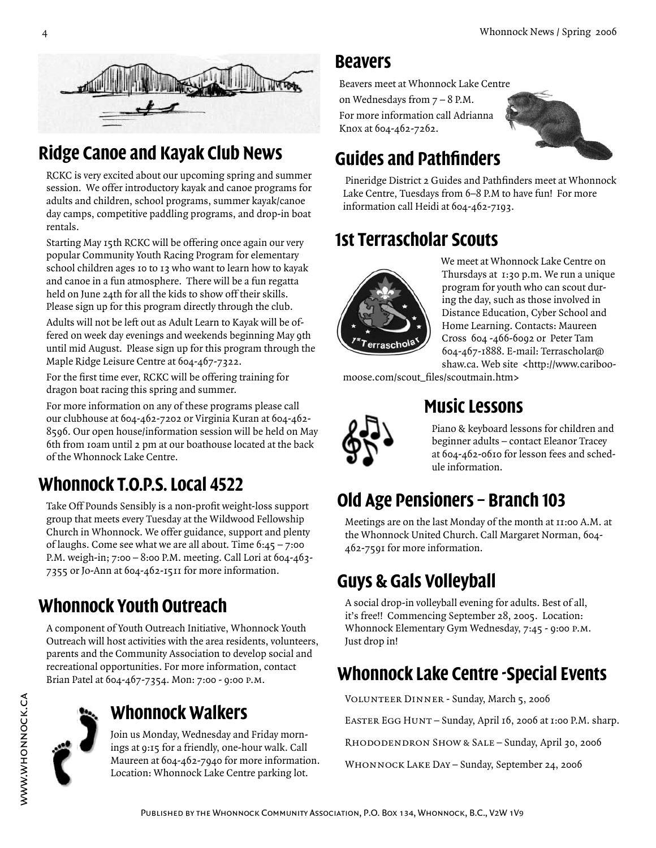

# **Ridge Canoe and Kayak Club News**

RCKC is very excited about our upcoming spring and summer session. We offer introductory kayak and canoe programs for adults and children, school programs, summer kayak/canoe day camps, competitive paddling programs, and drop-in boat rentals.

Starting May 15th RCKC will be offering once again our very popular Community Youth Racing Program for elementary school children ages 10 to 13 who want to learn how to kayak and canoe in a fun atmosphere. There will be a fun regatta held on June 24th for all the kids to show off their skills. Please sign up for this program directly through the club.

Adults will not be left out as Adult Learn to Kayak will be offered on week day evenings and weekends beginning May 9th until mid August. Please sign up for this program through the Maple Ridge Leisure Centre at 604-467-7322.

For the first time ever, RCKC will be offering training for dragon boat racing this spring and summer.

For more information on any of these programs please call our clubhouse at 604-462-7202 or Virginia Kuran at 604-462- 8596. Our open house/information session will be held on May 6th from 10am until 2 pm at our boathouse located at the back of the Whonnock Lake Centre.

# **Whonnock T.O.P.S. Local 4522**

Take Off Pounds Sensibly is a non-profit weight-loss support group that meets every Tuesday at the Wildwood Fellowship Church in Whonnock. We offer guidance, support and plenty of laughs. Come see what we are all about. Time  $6:45 - 7:00$ P.M. weigh-in; 7:00 – 8:00 P.M. meeting. Call Lori at 604-463- 7355 or Jo-Ann at 604-462-1511 for more information.

# **Whonnock Youth Outreach**

A component of Youth Outreach Initiative, Whonnock Youth Outreach will host activities with the area residents, volunteers, parents and the Community Association to develop social and recreational opportunities. For more information, contact Brian Patel at 604-467-7354. Mon: 7:00 - 9:00 p.m.



www.whonnock.ca

# **Whonnock Walkers**

Join us Monday, Wednesday and Friday mornings at 9:15 for a friendly, one-hour walk. Call Maureen at 604-462-7940 for more information. Location: Whonnock Lake Centre parking lot.

#### **Beavers**

Beavers meet at Whonnock Lake Centre on Wednesdays from 7 – 8 P.M. For more information call Adrianna Knox at 604-462-7262.



# **Guides and Pathfinders**

 Pineridge District 2 Guides and Pathfinders meet at Whonnock Lake Centre, Tuesdays from 6–8 P.M to have fun! For more information call Heidi at 604-462-7193.

# **1st Terrascholar Scouts**



We meet at Whonnock Lake Centre on Thursdays at 1:30 p.m. We run a unique program for youth who can scout during the day, such as those involved in Distance Education, Cyber School and Home Learning. Contacts: Maureen Cross 604 -466-6092 or Peter Tam 604-467-1888. E-mail: Terrascholar@ shaw.ca. Web site <http://www.cariboo-

moose.com/scout\_files/scoutmain.htm>



### **Music Lessons**

Piano & keyboard lessons for children and beginner adults – contact Eleanor Tracey at 604-462-0610 for lesson fees and schedule information.

# **Old Age Pensioners – Branch 103**

Meetings are on the last Monday of the month at 11:00 A.M. at the Whonnock United Church. Call Margaret Norman, 604- 462-7591 for more information.

# **Guys & Gals Volleyball**

A social drop-in volleyball evening for adults. Best of all, it's free!! Commencing September 28, 2005. Location: Whonnock Elementary Gym Wednesday, 7:45 - 9:00 p.m. Just drop in!

# **Whonnock Lake Centre -Special Events**

Volunteer Dinner - Sunday, March 5, 2006

EASTER EGG HUNT – Sunday, April 16, 2006 at 1:00 P.M. sharp.

Rhododendron Show & Sale – Sunday, April 30, 2006

Whonnock Lake Day – Sunday, September 24, 2006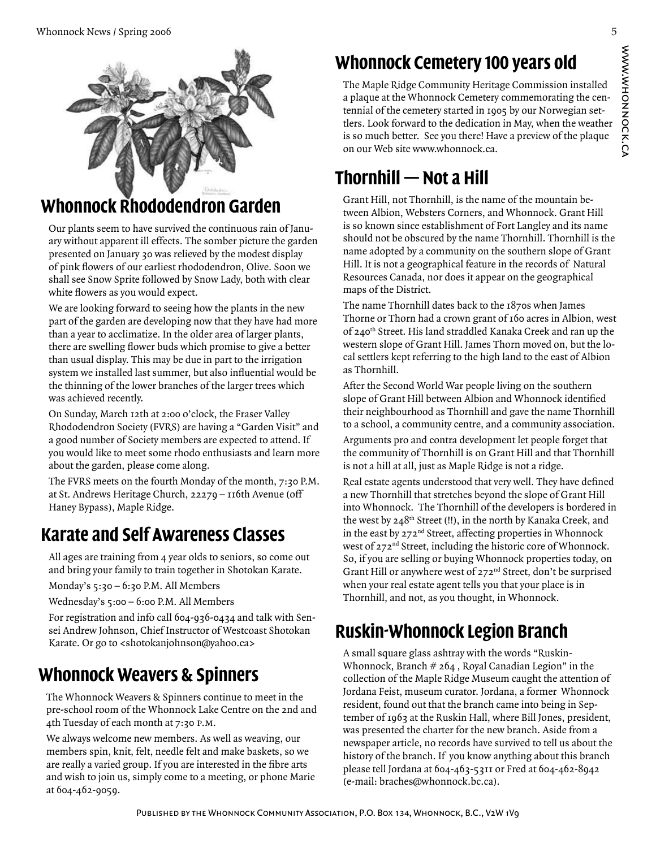

## **Whonnock Rhododendron Garden**

Our plants seem to have survived the continuous rain of January without apparent ill effects. The somber picture the garden presented on January 30 was relieved by the modest display of pink flowers of our earliest rhododendron, Olive. Soon we shall see Snow Sprite followed by Snow Lady, both with clear white flowers as you would expect.

We are looking forward to seeing how the plants in the new part of the garden are developing now that they have had more than a year to acclimatize. In the older area of larger plants, there are swelling flower buds which promise to give a better than usual display. This may be due in part to the irrigation system we installed last summer, but also influential would be the thinning of the lower branches of the larger trees which was achieved recently.

On Sunday, March 12th at 2:00 o'clock, the Fraser Valley Rhododendron Society (FVRS) are having a "Garden Visit" and a good number of Society members are expected to attend. If you would like to meet some rhodo enthusiasts and learn more about the garden, please come along.

The FVRS meets on the fourth Monday of the month, 7:30 P.M. at St. Andrews Heritage Church, 22279 – 116th Avenue (off Haney Bypass), Maple Ridge.

# **Karate and Self Awareness Classes**

All ages are training from 4 year olds to seniors, so come out and bring your family to train together in Shotokan Karate.

Monday's 5:30 – 6:30 P.M. All Members

Wednesday's 5:00 - 6:00 P.M. All Members

For registration and info call 604-936-0434 and talk with Sensei Andrew Johnson, Chief Instructor of Westcoast Shotokan Karate. Or go to <shotokanjohnson@yahoo.ca>

## **Whonnock Weavers & Spinners**

The Whonnock Weavers & Spinners continue to meet in the pre-school room of the Whonnock Lake Centre on the 2nd and 4th Tuesday of each month at 7:30 p.m.

We always welcome new members. As well as weaving, our members spin, knit, felt, needle felt and make baskets, so we are really a varied group. If you are interested in the fibre arts and wish to join us, simply come to a meeting, or phone Marie at 604-462-9059.

# **Whonnock Cemetery 100 years old**

The Maple Ridge Community Heritage Commission installed a plaque at the Whonnock Cemetery commemorating the centennial of the cemetery started in 1905 by our Norwegian settlers. Look forward to the dedication in May, when the weather is so much better. See you there! Have a preview of the plaque on our Web site www.whonnock.ca.

# **Thornhill — Not a Hill**

Grant Hill, not Thornhill, is the name of the mountain between Albion, Websters Corners, and Whonnock. Grant Hill is so known since establishment of Fort Langley and its name should not be obscured by the name Thornhill. Thornhill is the name adopted by a community on the southern slope of Grant Hill. It is not a geographical feature in the records of Natural Resources Canada, nor does it appear on the geographical maps of the District.

The name Thornhill dates back to the 1870s when James Thorne or Thorn had a crown grant of 160 acres in Albion, west of 240<sup>th</sup> Street. His land straddled Kanaka Creek and ran up the western slope of Grant Hill. James Thorn moved on, but the local settlers kept referring to the high land to the east of Albion as Thornhill.

After the Second World War people living on the southern slope of Grant Hill between Albion and Whonnock identified their neighbourhood as Thornhill and gave the name Thornhill to a school, a community centre, and a community association.

Arguments pro and contra development let people forget that the community of Thornhill is on Grant Hill and that Thornhill is not a hill at all, just as Maple Ridge is not a ridge.

Real estate agents understood that very well. They have defined a new Thornhill that stretches beyond the slope of Grant Hill into Whonnock. The Thornhill of the developers is bordered in the west by  $248<sup>th</sup>$  Street (!!), in the north by Kanaka Creek, and in the east by  $272<sup>nd</sup>$  Street, affecting properties in Whonnock west of 272<sup>nd</sup> Street, including the historic core of Whonnock. So, if you are selling or buying Whonnock properties today, on Grant Hill or anywhere west of  $272<sup>nd</sup>$  Street, don't be surprised when your real estate agent tells you that your place is in Thornhill, and not, as you thought, in Whonnock.

# **Ruskin-Whonnock Legion Branch**

A small square glass ashtray with the words "Ruskin-Whonnock, Branch  $# 264$ , Royal Canadian Legion" in the collection of the Maple Ridge Museum caught the attention of Jordana Feist, museum curator. Jordana, a former Whonnock resident, found out that the branch came into being in September of 1963 at the Ruskin Hall, where Bill Jones, president, was presented the charter for the new branch. Aside from a newspaper article, no records have survived to tell us about the history of the branch. If you know anything about this branch please tell Jordana at 604-463-5311 or Fred at 604-462-8942 (e-mail: braches@whonnock.bc.ca).